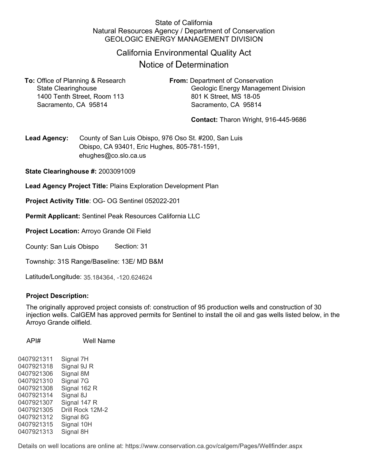### State of California Natural Resources Agency / Department of Conservation GEOLOGIC ENERGY MANAGEMENT DIVISION

## California Environmental Quality Act

# Notice of Determination

**To:** Office of Planning & Research **From:** Department of Conservation 1400 Tenth Street, Room 113 801 K Street, MS 18-05 Sacramento, CA 95814 Sacramento, CA 95814

State Clearinghouse Geologic Energy Management Division

**Contact:** Tharon Wright, 916-445-9686

**Lead Agency:** County of San Luis Obispo, 976 Oso St. #200, San Luis Obispo, CA 93401, Eric Hughes, 805-781-1591, ehughes@co.slo.ca.us

**State Clearinghouse #:** 2003091009

**Lead Agency Project Title:** Plains Exploration Development Plan

**Project Activity Title**: OG- OG Sentinel 052022-201

**Permit Applicant:** Sentinel Peak Resources California LLC

**Project Location:** Arroyo Grande Oil Field

County: San Luis Obispo Section: 31

Township: 31S Range/Baseline: 13E/ MD B&M

Latitude/Longitude: 35.184364, -120.624624

#### **Project Description:**

The originally approved project consists of: construction of 95 production wells and construction of 30 injection wells. CalGEM has approved permits for Sentinel to install the oil and gas wells listed below, in the Arroyo Grande oilfield.

API# Well Name

0407921311 Signal 7H 0407921318 Signal 9J R 0407921306 Signal 8M 0407921310 Signal 7G 0407921308 Signal 162 R 0407921314 Signal 8J 0407921307 Signal 147 R 0407921305 Drill Rock 12M-2 0407921312 Signal 8G 0407921315 Signal 10H 0407921313 Signal 8H

Details on well locations are online at: https://www.conservation.ca.gov/calgem/Pages/Wellfinder.aspx